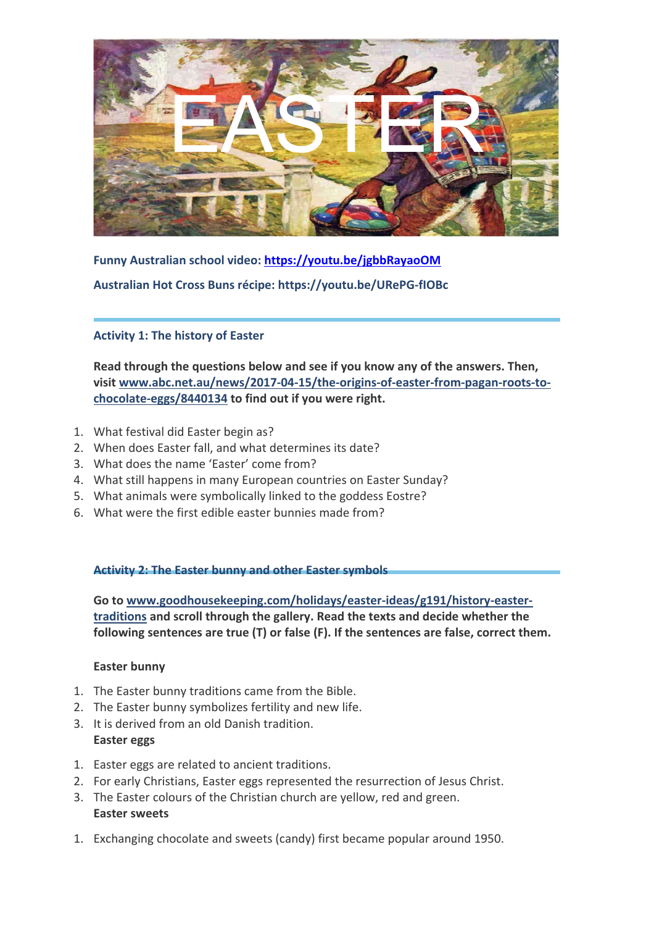

**Funny Australian school video:<https://youtu.be/jgbbRayaoOM> Australian Hot Cross Buns récipe: https://youtu.be/URePG-fIOBc**

**Activity 1: The history of Easter**

**Read through the questions below and see if you know any of the answers. Then, visit [www.abc.net.au/news/2017-04-15/the-origins-of-easter-from-pagan-roots-to](http://www.abc.net.au/news/2017-04-15/the-origins-of-easter-from-pagan-roots-to-chocolate-eggs/8440134)[chocolate-eggs/8440134](http://www.abc.net.au/news/2017-04-15/the-origins-of-easter-from-pagan-roots-to-chocolate-eggs/8440134) to find out if you were right.** 

- 1. What festival did Easter begin as?
- 2. When does Easter fall, and what determines its date?
- 3. What does the name 'Easter' come from?
- 4. What still happens in many European countries on Easter Sunday?
- 5. What animals were symbolically linked to the goddess Eostre?
- 6. What were the first edible easter bunnies made from?

**Activity 2: The Easter bunny and other Easter symbols**

**Go to [www.goodhousekeeping.com/holidays/easter-ideas/g191/history-easter](https://www.goodhousekeeping.com/holidays/easter-ideas/g191/history-easter-traditions/)[traditions](https://www.goodhousekeeping.com/holidays/easter-ideas/g191/history-easter-traditions/) and scroll through the gallery. Read the texts and decide whether the following sentences are true (T) or false (F). If the sentences are false, correct them.**

## **Easter bunny**

- 1. The Easter bunny traditions came from the Bible.
- 2. The Easter bunny symbolizes fertility and new life.
- 3. It is derived from an old Danish tradition. **Easter eggs**
- 1. Easter eggs are related to ancient traditions.
- 2. For early Christians, Easter eggs represented the resurrection of Jesus Christ.
- 3. The Easter colours of the Christian church are yellow, red and green. **Easter sweets**
- 1. Exchanging chocolate and sweets (candy) first became popular around 1950.